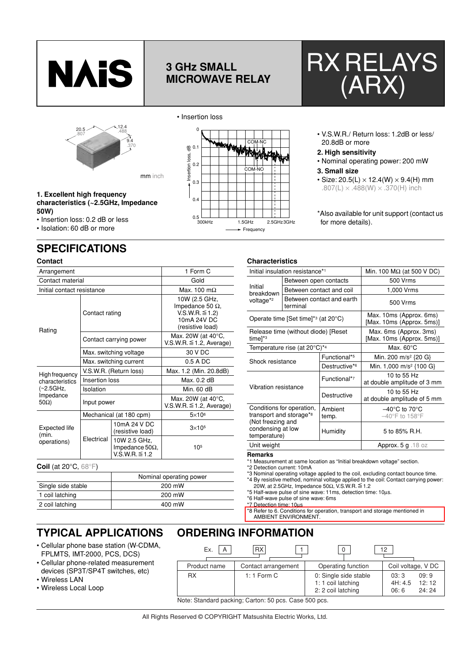

# **3 GHz SMALL MICROWAVE RELAY**





mm inch



• V.S.W.R./ Return loss: 1.2dB or less/ 20.8dB or more

### **2. High sensitivity**

• Nominal operating power: 200 mW

#### **3. Small size**

• Size: 20.5(L)  $\times$  12.4(W)  $\times$  9.4(H) mm .807(L)  $\times$  .488(W)  $\times$  .370(H) inch

\*Also available for unit support (contact us for more details).

## **1. Excellent high frequency characteristics (~2.5GHz, Impedance 50W)**

- Insertion loss: 0.2 dB or less
- Isolation: 60 dB or more

**Contact**

# **SPECIFICATIONS**

| Contact                                           |                |                                                                |                                                                                               |  |
|---------------------------------------------------|----------------|----------------------------------------------------------------|-----------------------------------------------------------------------------------------------|--|
| Arrangement                                       |                | 1 Form C                                                       |                                                                                               |  |
| Contact material                                  |                | Gold                                                           |                                                                                               |  |
| Initial contact resistance                        |                |                                                                | Max. 100 m $\Omega$                                                                           |  |
| Rating                                            | Contact rating |                                                                | 10W (2.5 GHz,<br>Impedance 50 $\Omega$ ,<br>V.S.W.R. ≦1.2)<br>10mA 24V DC<br>(resistive load) |  |
|                                                   |                | Contact carrying power                                         | Max. 20W (at 40°C,<br>$V.S.W.R. \leq 1.2$ , Average)                                          |  |
|                                                   |                | Max. switching voltage                                         | 30 V DC                                                                                       |  |
|                                                   |                | Max. switching current                                         | $0.5A$ DC                                                                                     |  |
| High frequency                                    |                | V.S.W.R. (Return loss)                                         | Max. 1.2 (Min. 20.8dB)                                                                        |  |
| characteristics                                   | Insertion loss |                                                                | Max. 0.2 dB                                                                                   |  |
| (~2.5GHz,                                         | Isolation      |                                                                | Min. 60 dB                                                                                    |  |
| Impedance<br>$50\Omega$ )                         | Input power    |                                                                | Max. 20W (at $40^{\circ}$ C,<br>$V.S.W.R. \leq 1.2$ , Average)                                |  |
|                                                   |                | Mechanical (at 180 cpm)                                        | $5\times10^6$                                                                                 |  |
| Expected life<br>(min.<br>operations)             |                | 10mA 24 V DC<br>(resistive load)                               | $3\times105$                                                                                  |  |
|                                                   | Electrical     | 10W 2.5 GHz,<br>Impedance 50 $\Omega$ ,<br>$V.S.W.R. \leq 1.2$ | 105                                                                                           |  |
| <b>Coil</b> (at 20 $^{\circ}$ C, 68 $^{\circ}$ F) |                |                                                                |                                                                                               |  |

| Nominal operating power |
|-------------------------|
| 200 mW                  |
| 200 mW                  |
| 400 mW                  |
|                         |

## **TYPICAL APPLICATIONS**

- Cellular phone base station (W-CDMA, FPLMTS, IMT-2000, PCS, DCS)
- Cellular phone-related measurement devices (SP3T/SP4T switches, etc)
- Wireless LAN
- Wireless Local Loop

| <b>ORDERING INFORMATION</b>                           |                     |                                                                   |                                                   |  |  |  |  |  |
|-------------------------------------------------------|---------------------|-------------------------------------------------------------------|---------------------------------------------------|--|--|--|--|--|
| Ex.<br>A                                              | <b>RX</b>           | 0                                                                 | 12                                                |  |  |  |  |  |
| Product name                                          | Contact arrangement | Operating function                                                | Coil voltage, V DC                                |  |  |  |  |  |
| RX.                                                   | $1:1$ Form C        | 0: Single side stable<br>1: 1 coil latching<br>2: 2 coil latching | 09:9<br>03:3<br>12:12<br>4H: 4.5<br>24:24<br>06:6 |  |  |  |  |  |
| Note: Standard packing; Carton: 50 pcs. Case 500 pcs. |                     |                                                                   |                                                   |  |  |  |  |  |

| All Rights Reserved © COPYRIGHT Matsushita Electric Works, Ltd. |  |  |
|-----------------------------------------------------------------|--|--|



**Characteristics**

| Initial<br>breakdown                                                                                                                      |                                                           | Between contact and coil                             | 1,000 Vrms                                                                |  |  |
|-------------------------------------------------------------------------------------------------------------------------------------------|-----------------------------------------------------------|------------------------------------------------------|---------------------------------------------------------------------------|--|--|
| voltage* <sup>2</sup>                                                                                                                     | terminal                                                  | Between contact and earth                            | 500 Vrms                                                                  |  |  |
|                                                                                                                                           | Operate time [Set time] <sup>*3</sup> (at $20^{\circ}$ C) | Max. 10ms (Approx. 6ms)<br>[Max. 10ms (Approx. 5ms)] |                                                                           |  |  |
| Release time (without diode) [Reset<br>time <sup>x3</sup>                                                                                 |                                                           |                                                      | Max. 6ms (Approx. 3ms)<br>[Max. 10ms (Approx. 5ms)]                       |  |  |
|                                                                                                                                           | Temperature rise (at $20^{\circ}$ C)*4                    |                                                      | Max. $60^{\circ}$ C                                                       |  |  |
| Shock resistance                                                                                                                          |                                                           | Functional*5                                         | Min. 200 m/s <sup>2</sup> {20 G}                                          |  |  |
|                                                                                                                                           |                                                           | Destructive <sup>*6</sup>                            | Min. 1,000 m/s <sup>2</sup> {100 G}                                       |  |  |
| Vibration resistance                                                                                                                      |                                                           | Functional*7                                         | 10 to 55 Hz<br>at double amplitude of 3 mm                                |  |  |
|                                                                                                                                           |                                                           | Destructive                                          | 10 to 55 Hz<br>at double amplitude of 5 mm                                |  |  |
| Conditions for operation,<br>transport and storage* <sup>8</sup><br>(Not freezing and<br>condensing at low<br>temperature)<br>Unit weight |                                                           | Ambient<br>temp.                                     | $-40^{\circ}$ C to 70 $^{\circ}$ C<br>$-40^{\circ}$ F to 158 $^{\circ}$ F |  |  |
|                                                                                                                                           |                                                           | Humidity                                             | 5 to 85% R.H.                                                             |  |  |
|                                                                                                                                           |                                                           |                                                      | Approx. $5 g$ . 18 oz                                                     |  |  |

## **Remarks**

\*1 Measurement at same location as "Initial breakdown voltage" section.

\*2 Detection current: 10mA

\*3 Nominal operating voltage applied to the coil, excluding contact bounce time. \*4 By resistive method, nominal voltage applied to the coil: Contact carrying power:<br>20W, at 2.5GHz, Impedance 50Ω, V.S.W.R.≦1.2

- \*5 Half-wave pulse of sine wave: 11ms, detection time: 10µs.
- \*6 Half-wave pulse of sine wave: 6ms

\*7 Detection time: 10µs

\*8 Refer to 6. Conditions for operation, transport and storage mentioned in

AMBIENT ENVIRONMENT.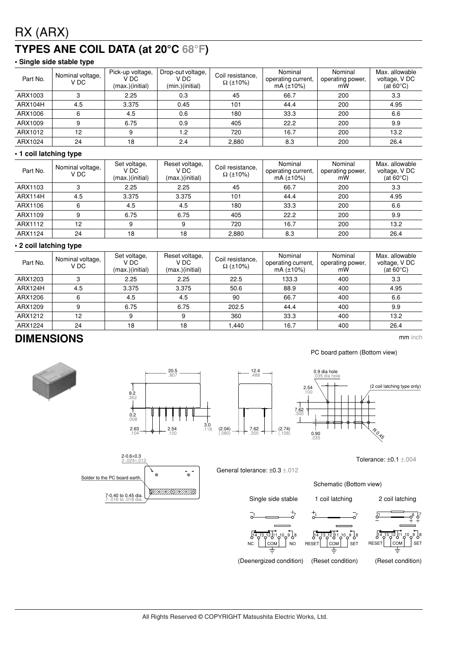# RX (ARX)

# **TYPES ANE COIL DATA (at 20°C 68°F)**

## **• Single side stable type**

| Part No. | Nominal voltage,<br>V DC | Pick-up voltage,<br>V DC<br>(max.)(initial) | Drop-out voltage,<br>V DC<br>(min.)(initial) | Coil resistance.<br>$\Omega$ (±10%) | Nominal<br>operating current,<br>$mA (\pm 10\%)$ | Nominal<br>operating power,<br>mW | Max. allowable<br>voltage, V DC<br>(at $60^{\circ}$ C) |
|----------|--------------------------|---------------------------------------------|----------------------------------------------|-------------------------------------|--------------------------------------------------|-----------------------------------|--------------------------------------------------------|
| ARX1003  |                          | 2.25                                        | 0.3                                          | 45                                  | 66.7                                             | 200                               | 3.3                                                    |
| ARX104H  | 4.5                      | 3.375                                       | 0.45                                         | 101                                 | 44.4                                             | 200                               | 4.95                                                   |
| ARX1006  | 6                        | 4.5                                         | 0.6                                          | 180                                 | 33.3                                             | 200                               | 6.6                                                    |
| ARX1009  | 9                        | 6.75                                        | 0.9                                          | 405                                 | 22.2                                             | 200                               | 9.9                                                    |
| ARX1012  | 12                       | 9                                           | 1.2                                          | 720                                 | 16.7                                             | 200                               | 13.2                                                   |
| ARX1024  | 24                       | 18                                          | 2.4                                          | 2,880                               | 8.3                                              | 200                               | 26.4                                                   |

## **• 1 coil latching type**

| Part No. | Nominal voltage,<br>V DC | Set voltage,<br>V DC<br>(max.)(initial) | Reset voltage,<br>V DC<br>(max.)(initial) | Coil resistance,<br>$\Omega$ (±10%) | Nominal<br>operating current,<br>$mA (\pm 10\%)$ | Nominal<br>operating power,<br>mW | Max. allowable<br>voltage, V DC<br>(at $60^{\circ}$ C) |
|----------|--------------------------|-----------------------------------------|-------------------------------------------|-------------------------------------|--------------------------------------------------|-----------------------------------|--------------------------------------------------------|
| ARX1103  | 3                        | 2.25                                    | 2.25                                      | 45                                  | 66.7                                             | 200                               | 3.3                                                    |
| ARX114H  | 4.5                      | 3.375                                   | 3.375                                     | 101                                 | 44.4                                             | 200                               | 4.95                                                   |
| ARX1106  | 6                        | 4.5                                     | 4.5                                       | 180                                 | 33.3                                             | 200                               | 6.6                                                    |
| ARX1109  | 9                        | 6.75                                    | 6.75                                      | 405                                 | 22.2                                             | 200                               | 9.9                                                    |
| ARX1112  | 12                       |                                         | 9                                         | 720                                 | 16.7                                             | 200                               | 13.2                                                   |
| ARX1124  | 24                       | 18                                      | 18                                        | 2.880                               | 8.3                                              | 200                               | 26.4                                                   |

## **• 2 coil latching type**

| Part No. | Nominal voltage,<br>V DC | Set voltage,<br>V DC<br>(max.)(initial) | Reset voltage,<br>V DC<br>(max.)(initial) | Coil resistance.<br>$\Omega$ (±10%) | Nominal<br>operating current,<br>$mA (+10%)$ | Nominal<br>operating power,<br>mW | Max. allowable<br>voltage, V DC<br>(at $60^{\circ}$ C) |
|----------|--------------------------|-----------------------------------------|-------------------------------------------|-------------------------------------|----------------------------------------------|-----------------------------------|--------------------------------------------------------|
| ARX1203  |                          | 2.25                                    | 2.25                                      | 22.5                                | 133.3                                        | 400                               | 3.3                                                    |
| ARX124H  | 4.5                      | 3.375                                   | 3.375                                     | 50.6                                | 88.9                                         | 400                               | 4.95                                                   |
| ARX1206  | 6                        | 4.5                                     | 4.5                                       | 90                                  | 66.7                                         | 400                               | 6.6                                                    |
| ARX1209  | 9                        | 6.75                                    | 6.75                                      | 202.5                               | 44.4                                         | 400                               | 9.9                                                    |
| ARX1212  | 12                       |                                         | 9                                         | 360                                 | 33.3                                         | 400                               | 13.2                                                   |
| ARX1224  | 24                       | 18                                      | 18                                        | 1.440                               | 16.7                                         | 400                               | 26.4                                                   |

## **DIMENSIONS** mm inch









General tolerance: ±0.3 ±.012

Schematic (Bottom view)



Single side stable 1 coil latching 2 coil latching

Tolerance: ±0.1 ±.004







 $\overline{\Omega}$ 



14 13 12 1011 89

1 **\_\_\_** 6 J7



(Reset condition)